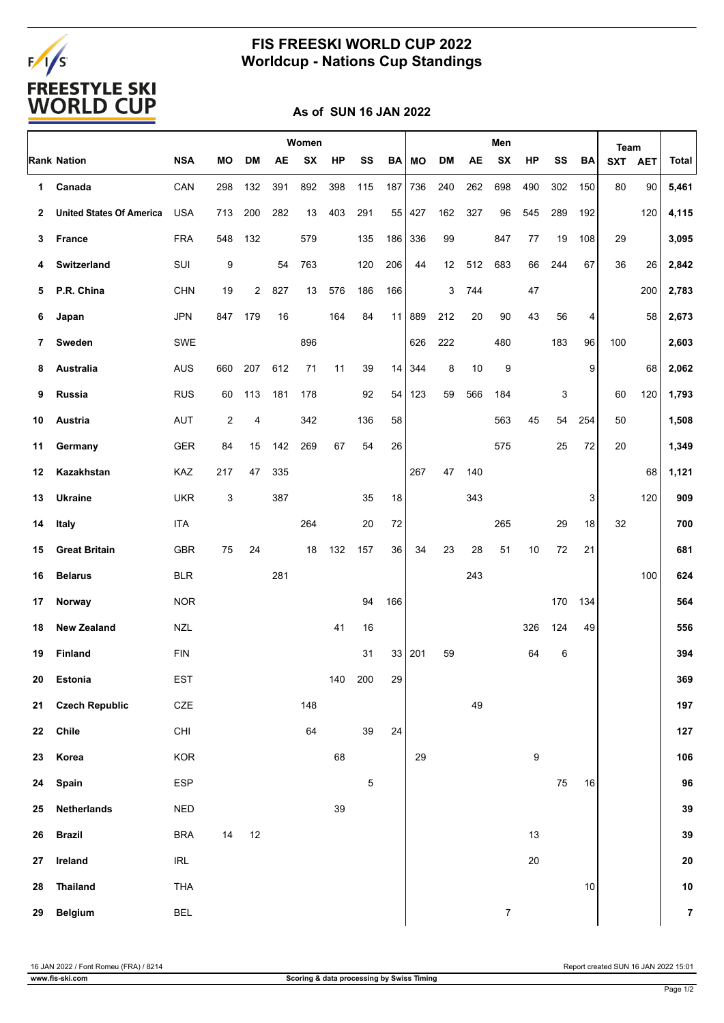# FALS<br>FREESTYLE SKI<br>WORLD CUP

### **FIS FREESKI WORLD CUP 2022 Worldcup - Nations Cup Standings**

#### **As of SUN 16 JAN 2022**

|    |                                 |                                    | Women |           |           |           |     | Men         |     |        |     |     |                  | Team   |     |        |            |            |                |
|----|---------------------------------|------------------------------------|-------|-----------|-----------|-----------|-----|-------------|-----|--------|-----|-----|------------------|--------|-----|--------|------------|------------|----------------|
|    | <b>Rank Nation</b>              | <b>NSA</b>                         | МO    | <b>DM</b> | <b>AE</b> | <b>SX</b> | HP  | SS          | BA  | MО     | DM  | AE  | <b>SX</b>        | HP     | SS  | BA     | <b>SXT</b> | <b>AET</b> | <b>Total</b>   |
| 1  | Canada                          | CAN                                | 298   | 132       | 391       | 892       | 398 | 115         | 187 | 736    | 240 | 262 | 698              | 490    | 302 | 150    | 80         | 90         | 5,461          |
| 2  | <b>United States Of America</b> | <b>USA</b>                         | 713   | 200       | 282       | 13        | 403 | 291         | 55  | 427    | 162 | 327 | 96               | 545    | 289 | 192    |            | 120        | 4,115          |
| 3  | France                          | <b>FRA</b>                         | 548   | 132       |           | 579       |     | 135         | 186 | 336    | 99  |     | 847              | 77     | 19  | 108    | 29         |            | 3,095          |
| 4  | Switzerland                     | SUI                                | 9     |           | 54        | 763       |     | 120         | 206 | 44     | 12  | 512 | 683              | 66     | 244 | 67     | 36         | 26         | 2,842          |
| 5  | P.R. China                      | <b>CHN</b>                         | 19    | 2         | 827       | 13        | 576 | 186         | 166 |        | 3   | 744 |                  | 47     |     |        |            | 200        | 2,783          |
| 6  | Japan                           | <b>JPN</b>                         | 847   | 179       | 16        |           | 164 | 84          | 11  | 889    | 212 | 20  | 90               | 43     | 56  | 4      |            | 58         | 2,673          |
| 7  | Sweden                          | SWE                                |       |           |           | 896       |     |             |     | 626    | 222 |     | 480              |        | 183 | 96     | 100        |            | 2,603          |
| 8  | Australia                       | <b>AUS</b>                         | 660   | 207       | 612       | 71        | 11  | 39          | 14  | 344    | 8   | 10  | 9                |        |     | 9      |            | 68         | 2,062          |
| 9  | Russia                          | <b>RUS</b>                         | 60    | 113       | 181       | 178       |     | 92          | 54  | 123    | 59  | 566 | 184              |        | 3   |        | 60         | 120        | 1,793          |
| 10 | Austria                         | <b>AUT</b>                         | 2     | 4         |           | 342       |     | 136         | 58  |        |     |     | 563              | 45     | 54  | 254    | 50         |            | 1,508          |
| 11 | Germany                         | <b>GER</b>                         | 84    | 15        | 142       | 269       | 67  | 54          | 26  |        |     |     | 575              |        | 25  | 72     | 20         |            | 1,349          |
| 12 | Kazakhstan                      | KAZ                                | 217   | 47        | 335       |           |     |             |     | 267    | 47  | 140 |                  |        |     |        |            | 68         | 1,121          |
| 13 | <b>Ukraine</b>                  | <b>UKR</b>                         | 3     |           | 387       |           |     | 35          | 18  |        |     | 343 |                  |        |     | 3      |            | 120        | 909            |
| 14 | Italy                           | <b>ITA</b>                         |       |           |           | 264       |     | 20          | 72  |        |     |     | 265              |        | 29  | 18     | 32         |            | 700            |
| 15 | <b>Great Britain</b>            | <b>GBR</b>                         | 75    | 24        |           | 18        | 132 | 157         | 36  | 34     | 23  | 28  | 51               | 10     | 72  | 21     |            |            | 681            |
| 16 | <b>Belarus</b>                  | <b>BLR</b>                         |       |           | 281       |           |     |             |     |        |     | 243 |                  |        |     |        |            | 100        | 624            |
| 17 | Norway                          | <b>NOR</b>                         |       |           |           |           |     | 94          | 166 |        |     |     |                  |        | 170 | 134    |            |            | 564            |
| 18 | <b>New Zealand</b>              | <b>NZL</b>                         |       |           |           |           | 41  | 16          |     |        |     |     |                  | 326    | 124 | 49     |            |            | 556            |
| 19 | Finland                         | <b>FIN</b>                         |       |           |           |           |     | 31          |     | 33 201 | 59  |     |                  | 64     | 6   |        |            |            | 394            |
| 20 | Estonia                         | EST                                |       |           |           |           |     | 140 200     | 29  |        |     |     |                  |        |     |        |            |            | 369            |
| 21 | <b>Czech Republic</b>           | $CZE$                              |       |           |           | 148       |     |             |     |        |     | 49  |                  |        |     |        |            |            | 197            |
| 22 | Chile                           | CHI                                |       |           |           | 64        |     | 39          | 24  |        |     |     |                  |        |     |        |            |            | 127            |
| 23 | Korea                           | KOR                                |       |           |           |           | 68  |             |     | 29     |     |     |                  | 9      |     |        |            |            | 106            |
| 24 | Spain                           | ESP                                |       |           |           |           |     | $\mathbf 5$ |     |        |     |     |                  |        | 75  | $16\,$ |            |            | 96             |
| 25 | <b>Netherlands</b>              | <b>NED</b>                         |       |           |           |           | 39  |             |     |        |     |     |                  |        |     |        |            |            | 39             |
| 26 | <b>Brazil</b>                   | <b>BRA</b>                         | 14    | 12        |           |           |     |             |     |        |     |     |                  | 13     |     |        |            |            | 39             |
| 27 | Ireland                         | $\ensuremath{\mathsf{IRL}}\xspace$ |       |           |           |           |     |             |     |        |     |     |                  | $20\,$ |     |        |            |            | ${\bf 20}$     |
| 28 | <b>Thailand</b>                 | THA                                |       |           |           |           |     |             |     |        |     |     |                  |        |     | 10     |            |            | 10             |
| 29 | Belgium                         | <b>BEL</b>                         |       |           |           |           |     |             |     |        |     |     | $\boldsymbol{7}$ |        |     |        |            |            | $\overline{7}$ |

16 JAN 2022 / Font Romeu (FRA) / 8214 Report created SUN 16 JAN 2022 15:01